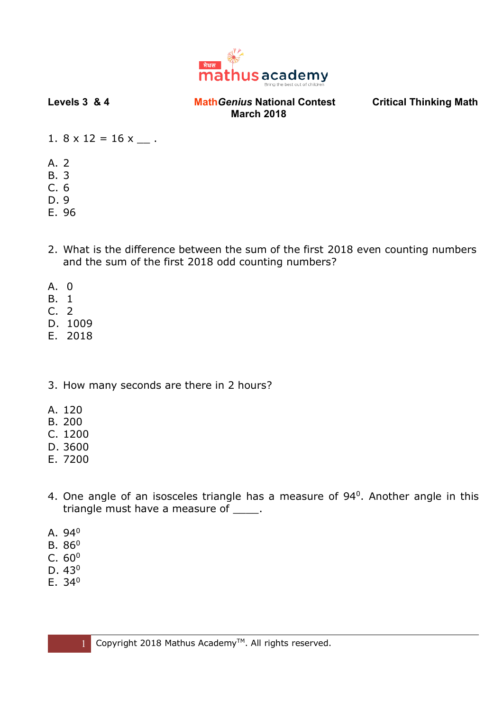

- 1.  $8 \times 12 = 16 \times \_$ .
- A. 2
- B. 3
- C. 6
- D. 9
- E. 96
- 2. What is the difference between the sum of the first 2018 even counting numbers and the sum of the first 2018 odd counting numbers?
- A. 0
- B. 1
- C. 2
- D. 1009
- E. 2018
- 3. How many seconds are there in 2 hours?
- A. 120
- B. 200
- C. 1200
- D. 3600
- E. 7200
- 4. One angle of an isosceles triangle has a measure of 94<sup>0</sup>. Another angle in this triangle must have a measure of \_\_\_\_\_.
- A. 94<sup>0</sup>
- $B. 86<sup>0</sup>$
- $C. 60<sup>0</sup>$
- D. 43<sup>0</sup>
- E. 34<sup>0</sup>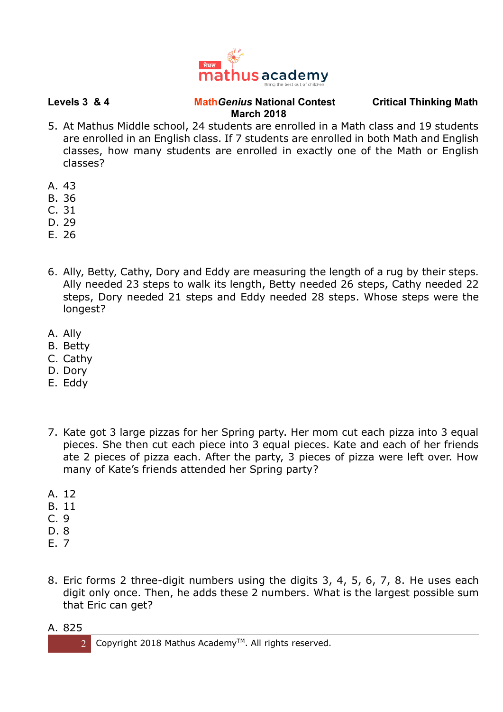

- 5. At Mathus Middle school, 24 students are enrolled in a Math class and 19 students are enrolled in an English class. If 7 students are enrolled in both Math and English classes, how many students are enrolled in exactly one of the Math or English classes?
- A. 43
- B. 36
- C. 31
- D. 29
- E. 26
- 6. Ally, Betty, Cathy, Dory and Eddy are measuring the length of a rug by their steps. Ally needed 23 steps to walk its length, Betty needed 26 steps, Cathy needed 22 steps, Dory needed 21 steps and Eddy needed 28 steps. Whose steps were the longest?
- A. Ally
- B. Betty
- C. Cathy
- D. Dory
- E. Eddy
- 7. Kate got 3 large pizzas for her Spring party. Her mom cut each pizza into 3 equal pieces. She then cut each piece into 3 equal pieces. Kate and each of her friends ate 2 pieces of pizza each. After the party, 3 pieces of pizza were left over. How many of Kate's friends attended her Spring party?
- A. 12
- B. 11
- C. 9
- D. 8
- E. 7
- 8. Eric forms 2 three-digit numbers using the digits 3, 4, 5, 6, 7, 8. He uses each digit only once. Then, he adds these 2 numbers. What is the largest possible sum that Eric can get?
- A. 825

2 Copyright 2018 Mathus Academy<sup>TM</sup>. All rights reserved.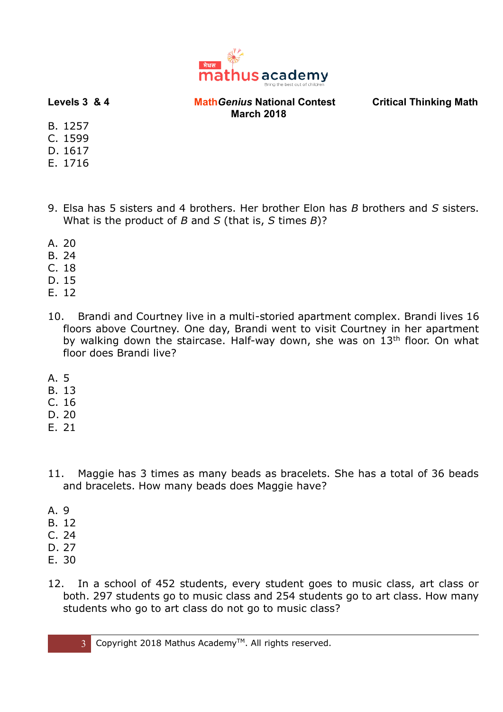

- B. 1257
- C. 1599
- D. 1617
- E. 1716
- 9. Elsa has 5 sisters and 4 brothers. Her brother Elon has *B* brothers and *S* sisters. What is the product of *B* and *S* (that is, *S* times *B*)?
- A. 20
- B. 24
- C. 18
- D. 15
- E. 12
- 10. Brandi and Courtney live in a multi-storied apartment complex. Brandi lives 16 floors above Courtney. One day, Brandi went to visit Courtney in her apartment by walking down the staircase. Half-way down, she was on 13<sup>th</sup> floor. On what floor does Brandi live?
- A. 5
- B. 13
- C. 16
- D. 20
- E. 21
- 11. Maggie has 3 times as many beads as bracelets. She has a total of 36 beads and bracelets. How many beads does Maggie have?
- A. 9
- B. 12
- C. 24
- D. 27
- E. 30
- 12. In a school of 452 students, every student goes to music class, art class or both. 297 students go to music class and 254 students go to art class. How many students who go to art class do not go to music class?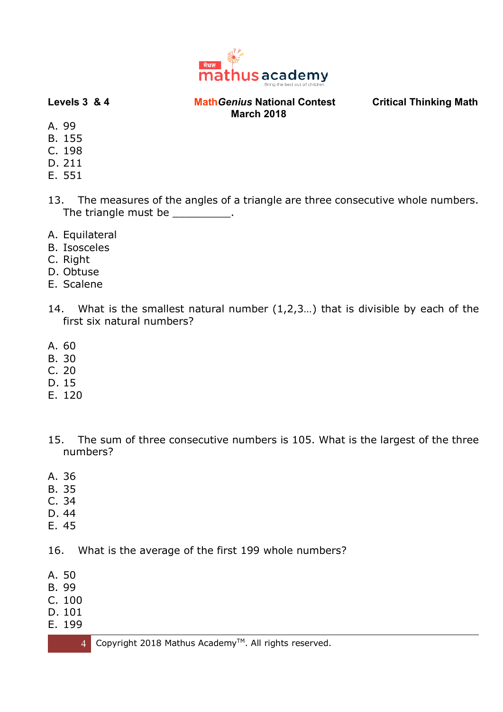

- A. 99
- B. 155
- C. 198
- D. 211
- E. 551
- 13. The measures of the angles of a triangle are three consecutive whole numbers. The triangle must be \_\_\_\_\_\_\_\_\_\_.
- A. Equilateral
- B. Isosceles
- C. Right
- D. Obtuse
- E. Scalene
- 14. What is the smallest natural number (1,2,3…) that is divisible by each of the first six natural numbers?
- A. 60
- B. 30
- C. 20
- D. 15
- E. 120
- 15. The sum of three consecutive numbers is 105. What is the largest of the three numbers?
- A. 36
- B. 35
- C. 34
- D. 44
- E. 45

16. What is the average of the first 199 whole numbers?

- A. 50
- B. 99
- C. 100
- D. 101
- E. 199